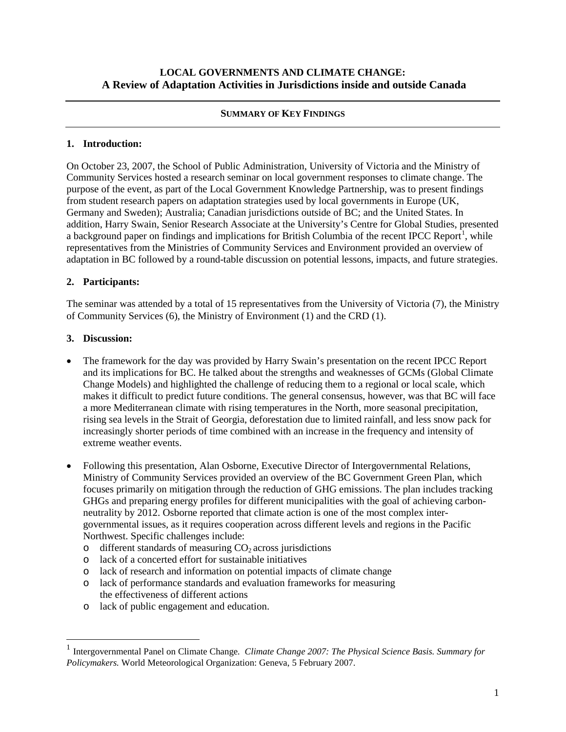#### **SUMMARY OF KEY FINDINGS**

## **1. Introduction:**

On October 23, 2007, the School of Public Administration, University of Victoria and the Ministry of Community Services hosted a research seminar on local government responses to climate change. The purpose of the event, as part of the Local Government Knowledge Partnership, was to present findings from student research papers on adaptation strategies used by local governments in Europe (UK, Germany and Sweden); Australia; Canadian jurisdictions outside of BC; and the United States. In addition, Harry Swain, Senior Research Associate at the University's Centre for Global Studies, presented a background paper on findings and implications for British Columbia of the recent IPCC Report<sup>[1](#page-0-0)</sup>, while representatives from the Ministries of Community Services and Environment provided an overview of adaptation in BC followed by a round-table discussion on potential lessons, impacts, and future strategies.

# **2. Participants:**

The seminar was attended by a total of 15 representatives from the University of Victoria (7), the Ministry of Community Services (6), the Ministry of Environment (1) and the CRD (1).

### **3. Discussion:**

- The framework for the day was provided by Harry Swain's presentation on the recent IPCC Report and its implications for BC. He talked about the strengths and weaknesses of GCMs (Global Climate Change Models) and highlighted the challenge of reducing them to a regional or local scale, which makes it difficult to predict future conditions. The general consensus, however, was that BC will face a more Mediterranean climate with rising temperatures in the North, more seasonal precipitation, rising sea levels in the Strait of Georgia, deforestation due to limited rainfall, and less snow pack for increasingly shorter periods of time combined with an increase in the frequency and intensity of extreme weather events.
- Following this presentation, Alan Osborne, Executive Director of Intergovernmental Relations, Ministry of Community Services provided an overview of the BC Government Green Plan, which focuses primarily on mitigation through the reduction of GHG emissions. The plan includes tracking GHGs and preparing energy profiles for different municipalities with the goal of achieving carbonneutrality by 2012. Osborne reported that climate action is one of the most complex intergovernmental issues, as it requires cooperation across different levels and regions in the Pacific Northwest. Specific challenges include:
	- $\circ$  different standards of measuring  $CO<sub>2</sub>$  across jurisdictions
	- o lack of a concerted effort for sustainable initiatives
	- o lack of research and information on potential impacts of climate change
	- o lack of performance standards and evaluation frameworks for measuring the effectiveness of different actions
	- o lack of public engagement and education.

<span id="page-0-0"></span> <sup>1</sup> Intergovernmental Panel on Climate Change*. Climate Change 2007: The Physical Science Basis. Summary for Policymakers.* World Meteorological Organization: Geneva, 5 February 2007.